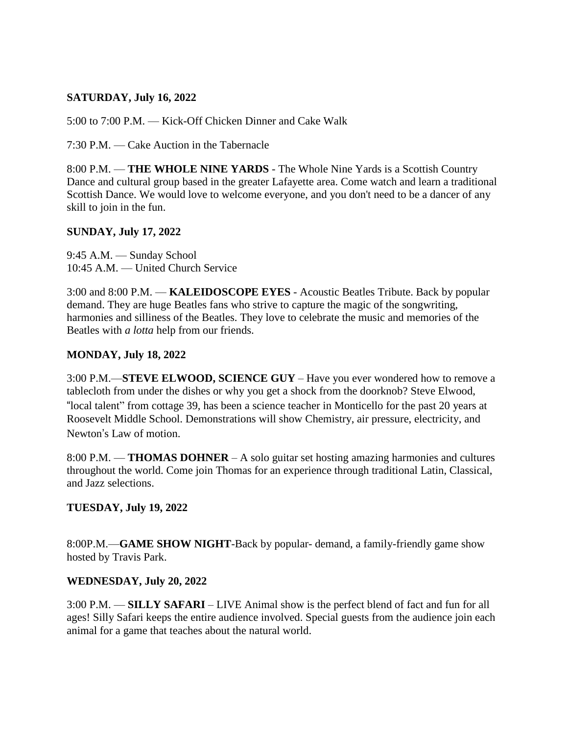# **SATURDAY, July 16, 2022**

5:00 to 7:00 P.M. — Kick-Off Chicken Dinner and Cake Walk

7:30 P.M. — Cake Auction in the Tabernacle

8:00 P.M. — **THE WHOLE NINE YARDS** - The Whole Nine Yards is a Scottish Country Dance and cultural group based in the greater Lafayette area. Come watch and learn a traditional Scottish Dance. We would love to welcome everyone, and you don't need to be a dancer of any skill to join in the fun.

#### **SUNDAY, July 17, 2022**

9:45 A.M. — Sunday School 10:45 A.M. — United Church Service

3:00 and 8:00 P.M. — **KALEIDOSCOPE EYES** - Acoustic Beatles Tribute. Back by popular demand. They are huge Beatles fans who strive to capture the magic of the songwriting, harmonies and silliness of the Beatles. They love to celebrate the music and memories of the Beatles with *a lotta* help from our friends.

#### **MONDAY, July 18, 2022**

3:00 P.M.—**STEVE ELWOOD, SCIENCE GUY** – Have you ever wondered how to remove a tablecloth from under the dishes or why you get a shock from the doorknob? Steve Elwood, "local talent" from cottage 39, has been a science teacher in Monticello for the past 20 years at Roosevelt Middle School. Demonstrations will show Chemistry, air pressure, electricity, and Newton's Law of motion.

8:00 P.M. — **THOMAS DOHNER** – A solo guitar set hosting amazing harmonies and cultures throughout the world. Come join Thomas for an experience through traditional Latin, Classical, and Jazz selections.

#### **TUESDAY, July 19, 2022**

8:00P.M.—**GAME SHOW NIGHT**-Back by popular- demand, a family-friendly game show hosted by Travis Park.

#### **WEDNESDAY, July 20, 2022**

3:00 P.M. — **SILLY SAFARI** – LIVE Animal show is the perfect blend of fact and fun for all ages! Silly Safari keeps the entire audience involved. Special guests from the audience join each animal for a game that teaches about the natural world.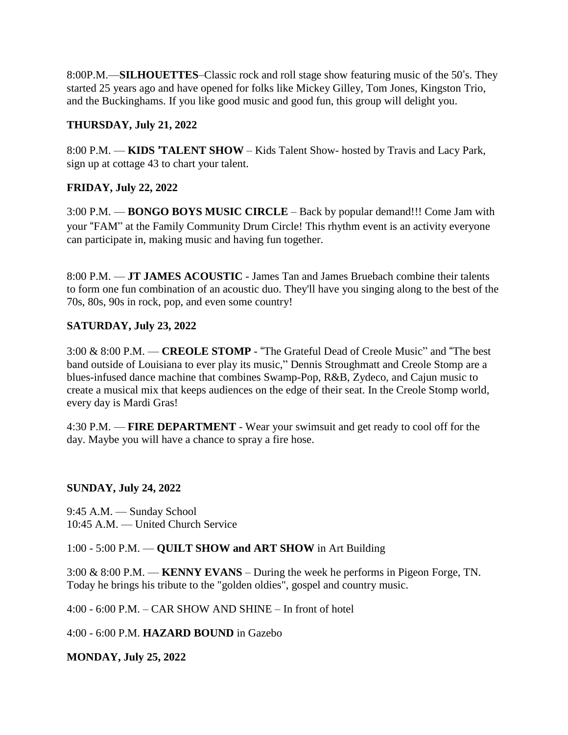8:00P.M.—**SILHOUETTES**–Classic rock and roll stage show featuring music of the 50's. They started 25 years ago and have opened for folks like Mickey Gilley, Tom Jones, Kingston Trio, and the Buckinghams. If you like good music and good fun, this group will delight you.

# **THURSDAY, July 21, 2022**

8:00 P.M. — **KIDS** '**TALENT SHOW** – Kids Talent Show- hosted by Travis and Lacy Park, sign up at cottage 43 to chart your talent.

# **FRIDAY, July 22, 2022**

3:00 P.M. — **BONGO BOYS MUSIC CIRCLE** – Back by popular demand!!! Come Jam with your "FAM" at the Family Community Drum Circle! This rhythm event is an activity everyone can participate in, making music and having fun together.

8:00 P.M. — **JT JAMES ACOUSTIC** - James Tan and James Bruebach combine their talents to form one fun combination of an acoustic duo. They'll have you singing along to the best of the 70s, 80s, 90s in rock, pop, and even some country!

# **SATURDAY, July 23, 2022**

3:00 & 8:00 P.M. — **CREOLE STOMP** - "The Grateful Dead of Creole Music" and "The best band outside of Louisiana to ever play its music," Dennis Stroughmatt and Creole Stomp are a blues-infused dance machine that combines Swamp-Pop, R&B, Zydeco, and Cajun music to create a musical mix that keeps audiences on the edge of their seat. In the Creole Stomp world, every day is Mardi Gras!

4:30 P.M. — **FIRE DEPARTMENT** - Wear your swimsuit and get ready to cool off for the day. Maybe you will have a chance to spray a fire hose.

## **SUNDAY, July 24, 2022**

9:45 A.M. — Sunday School 10:45 A.M. — United Church Service

## 1:00 - 5:00 P.M. — **QUILT SHOW and ART SHOW** in Art Building

3:00 & 8:00 P.M. — **KENNY EVANS** – During the week he performs in Pigeon Forge, TN. Today he brings his tribute to the "golden oldies", gospel and country music.

4:00 - 6:00 P.M. – CAR SHOW AND SHINE – In front of hotel

4:00 - 6:00 P.M. **HAZARD BOUND** in Gazebo

**MONDAY, July 25, 2022**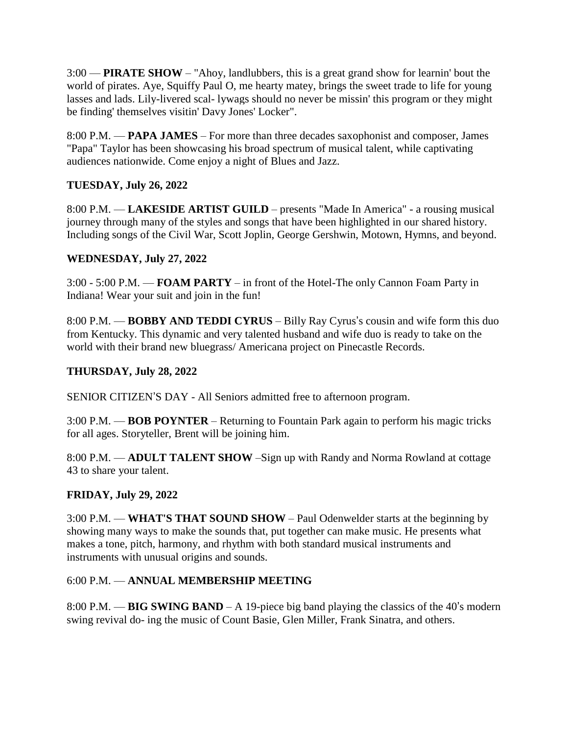3:00 — **PIRATE SHOW** – "Ahoy, landlubbers, this is a great grand show for learnin' bout the world of pirates. Aye, Squiffy Paul O, me hearty matey, brings the sweet trade to life for young lasses and lads. Lily-livered scal- lywags should no never be missin' this program or they might be finding' themselves visitin' Davy Jones' Locker".

8:00 P.M. — **PAPA JAMES** – For more than three decades saxophonist and composer, James "Papa" Taylor has been showcasing his broad spectrum of musical talent, while captivating audiences nationwide. Come enjoy a night of Blues and Jazz.

# **TUESDAY, July 26, 2022**

8:00 P.M. — **LAKESIDE ARTIST GUILD** – presents "Made In America" - a rousing musical journey through many of the styles and songs that have been highlighted in our shared history. Including songs of the Civil War, Scott Joplin, George Gershwin, Motown, Hymns, and beyond.

# **WEDNESDAY, July 27, 2022**

3:00 - 5:00 P.M. — **FOAM PARTY** – in front of the Hotel-The only Cannon Foam Party in Indiana! Wear your suit and join in the fun!

8:00 P.M. — **BOBBY AND TEDDI CYRUS** – Billy Ray Cyrus's cousin and wife form this duo from Kentucky. This dynamic and very talented husband and wife duo is ready to take on the world with their brand new bluegrass/ Americana project on Pinecastle Records.

## **THURSDAY, July 28, 2022**

SENIOR CITIZEN'S DAY - All Seniors admitted free to afternoon program.

3:00 P.M. — **BOB POYNTER** – Returning to Fountain Park again to perform his magic tricks for all ages. Storyteller, Brent will be joining him.

8:00 P.M. — **ADULT TALENT SHOW** –Sign up with Randy and Norma Rowland at cottage 43 to share your talent.

## **FRIDAY, July 29, 2022**

3:00 P.M. — **WHAT'S THAT SOUND SHOW** – Paul Odenwelder starts at the beginning by showing many ways to make the sounds that, put together can make music. He presents what makes a tone, pitch, harmony, and rhythm with both standard musical instruments and instruments with unusual origins and sounds.

## 6:00 P.M. — **ANNUAL MEMBERSHIP MEETING**

8:00 P.M. — **BIG SWING BAND** – A 19-piece big band playing the classics of the 40's modern swing revival do- ing the music of Count Basie, Glen Miller, Frank Sinatra, and others.